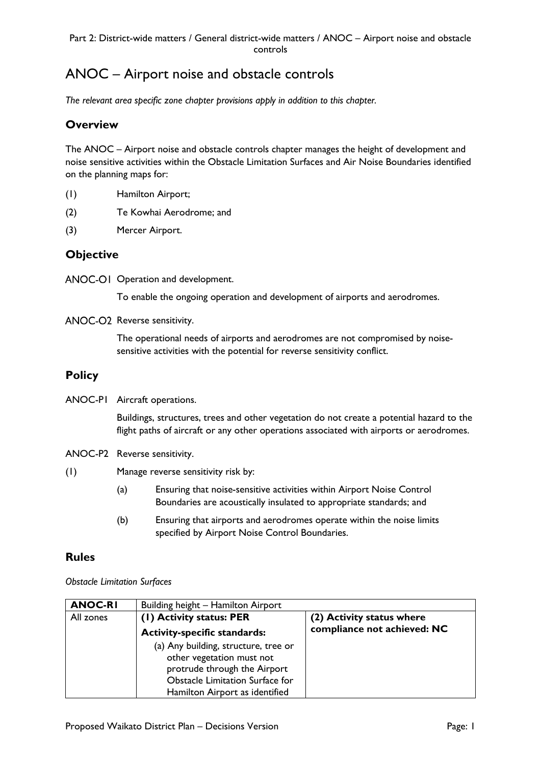# ANOC – Airport noise and obstacle controls

*The relevant area specific zone chapter provisions apply in addition to this chapter.*

## **Overview**

The ANOC – Airport noise and obstacle controls chapter manages the height of development and noise sensitive activities within the Obstacle Limitation Surfaces and Air Noise Boundaries identified on the planning maps for:

- (1) Hamilton Airport;
- (2) Te Kowhai Aerodrome; and
- (3) Mercer Airport.

## **Objective**

ANOC-OI Operation and development.

To enable the ongoing operation and development of airports and aerodromes.

ANOC-O2 Reverse sensitivity.

The operational needs of airports and aerodromes are not compromised by noisesensitive activities with the potential for reverse sensitivity conflict.

## **Policy**

ANOC-P1 Aircraft operations.

Buildings, structures, trees and other vegetation do not create a potential hazard to the flight paths of aircraft or any other operations associated with airports or aerodromes.

- ANOC-P2 Reverse sensitivity.
- (1) Manage reverse sensitivity risk by:
	- (a) Ensuring that noise-sensitive activities within Airport Noise Control Boundaries are acoustically insulated to appropriate standards; and
	- (b) Ensuring that airports and aerodromes operate within the noise limits specified by Airport Noise Control Boundaries.

## **Rules**

*Obstacle Limitation Surfaces*

| <b>ANOC-RI</b> | Building height - Hamilton Airport                                                                |                             |
|----------------|---------------------------------------------------------------------------------------------------|-----------------------------|
| All zones      | (1) Activity status: PER                                                                          | (2) Activity status where   |
|                | <b>Activity-specific standards:</b>                                                               | compliance not achieved: NC |
|                | (a) Any building, structure, tree or<br>other vegetation must not<br>protrude through the Airport |                             |
|                | Obstacle Limitation Surface for                                                                   |                             |
|                | Hamilton Airport as identified                                                                    |                             |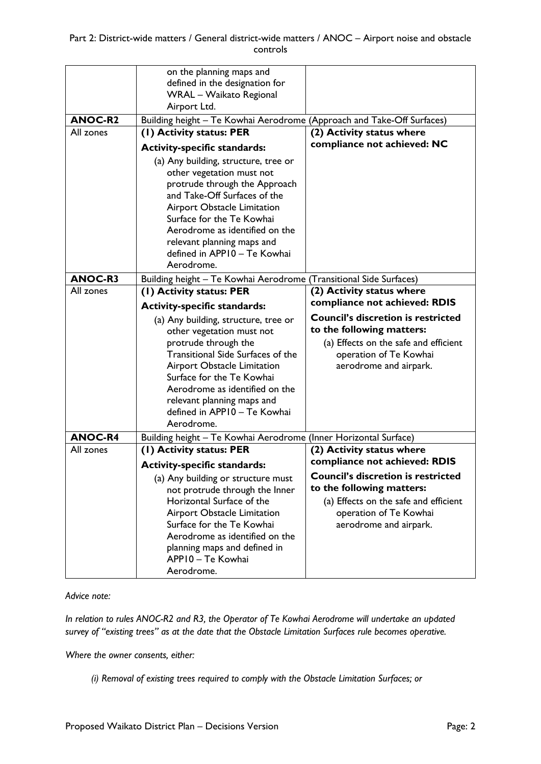|                | on the planning maps and<br>defined in the designation for<br><b>WRAL</b> - Waikato Regional<br>Airport Ltd.                                                                                                                                                                                                        |                                                                                                                                                                     |
|----------------|---------------------------------------------------------------------------------------------------------------------------------------------------------------------------------------------------------------------------------------------------------------------------------------------------------------------|---------------------------------------------------------------------------------------------------------------------------------------------------------------------|
| <b>ANOC-R2</b> | Building height - Te Kowhai Aerodrome (Approach and Take-Off Surfaces)                                                                                                                                                                                                                                              |                                                                                                                                                                     |
| All zones      | (1) Activity status: PER<br>(2) Activity status where                                                                                                                                                                                                                                                               |                                                                                                                                                                     |
|                | <b>Activity-specific standards:</b>                                                                                                                                                                                                                                                                                 | compliance not achieved: NC                                                                                                                                         |
|                | (a) Any building, structure, tree or<br>other vegetation must not<br>protrude through the Approach<br>and Take-Off Surfaces of the<br><b>Airport Obstacle Limitation</b><br>Surface for the Te Kowhai<br>Aerodrome as identified on the<br>relevant planning maps and<br>defined in APP10 - Te Kowhai<br>Aerodrome. |                                                                                                                                                                     |
| <b>ANOC-R3</b> | Building height - Te Kowhai Aerodrome (Transitional Side Surfaces)                                                                                                                                                                                                                                                  |                                                                                                                                                                     |
| All zones      | (1) Activity status: PER                                                                                                                                                                                                                                                                                            | (2) Activity status where                                                                                                                                           |
|                | <b>Activity-specific standards:</b>                                                                                                                                                                                                                                                                                 | compliance not achieved: RDIS                                                                                                                                       |
|                | (a) Any building, structure, tree or<br>other vegetation must not<br>protrude through the<br>Transitional Side Surfaces of the<br>Airport Obstacle Limitation<br>Surface for the Te Kowhai<br>Aerodrome as identified on the<br>relevant planning maps and<br>defined in APP10 - Te Kowhai<br>Aerodrome.            | <b>Council's discretion is restricted</b><br>to the following matters:<br>(a) Effects on the safe and efficient<br>operation of Te Kowhai<br>aerodrome and airpark. |
| <b>ANOC-R4</b> | Building height - Te Kowhai Aerodrome (Inner Horizontal Surface)                                                                                                                                                                                                                                                    |                                                                                                                                                                     |
| All zones      | (1) Activity status: PER                                                                                                                                                                                                                                                                                            | (2) Activity status where                                                                                                                                           |
|                | <b>Activity-specific standards:</b>                                                                                                                                                                                                                                                                                 | compliance not achieved: RDIS                                                                                                                                       |
|                | (a) Any building or structure must<br>not protrude through the Inner<br>Horizontal Surface of the<br>Airport Obstacle Limitation<br>Surface for the Te Kowhai<br>Aerodrome as identified on the<br>planning maps and defined in<br>APP10 - Te Kowhai<br>Aerodrome.                                                  | <b>Council's discretion is restricted</b><br>to the following matters:<br>(a) Effects on the safe and efficient<br>operation of Te Kowhai<br>aerodrome and airpark. |

#### *Advice note:*

*In relation to rules ANOC-R2 and R3, the Operator of Te Kowhai Aerodrome will undertake an updated survey of "existing trees" as at the date that the Obstacle Limitation Surfaces rule becomes operative.* 

*Where the owner consents, either:*

*(i) Removal of existing trees required to comply with the Obstacle Limitation Surfaces; or*